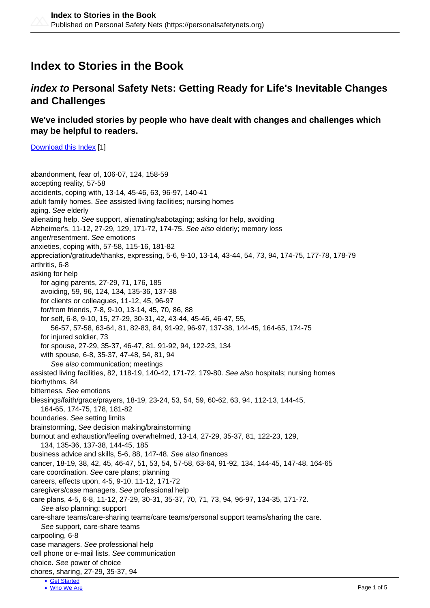## **Index to Stories in the Book**

## **index to Personal Safety Nets: Getting Ready for Life's Inevitable Changes and Challenges**

**We've included stories by people who have dealt with changes and challenges which may be helpful to readers.**

[Download this Index](https://personalsafetynets.org/sites/default/files/pages/psn-book-index-fixed.pdf) [1]

abandonment, fear of, 106-07, 124, 158-59 accepting reality, 57-58 accidents, coping with, 13-14, 45-46, 63, 96-97, 140-41 adult family homes. See assisted living facilities; nursing homes aging. See elderly alienating help. See support, alienating/sabotaging; asking for help, avoiding Alzheimer's, 11-12, 27-29, 129, 171-72, 174-75. See also elderly; memory loss anger/resentment. See emotions anxieties, coping with, 57-58, 115-16, 181-82 appreciation/gratitude/thanks, expressing, 5-6, 9-10, 13-14, 43-44, 54, 73, 94, 174-75, 177-78, 178-79 arthritis, 6-8 asking for help for aging parents, 27-29, 71, 176, 185 avoiding, 59, 96, 124, 134, 135-36, 137-38 for clients or colleagues, 11-12, 45, 96-97 for/from friends, 7-8, 9-10, 13-14, 45, 70, 86, 88 for self, 6-8, 9-10, 15, 27-29, 30-31, 42, 43-44, 45-46, 46-47, 55, 56-57, 57-58, 63-64, 81, 82-83, 84, 91-92, 96-97, 137-38, 144-45, 164-65, 174-75 for injured soldier, 73 for spouse, 27-29, 35-37, 46-47, 81, 91-92, 94, 122-23, 134 with spouse, 6-8, 35-37, 47-48, 54, 81, 94 See also communication; meetings assisted living facilities, 82, 118-19, 140-42, 171-72, 179-80. See also hospitals; nursing homes biorhythms, 84 bitterness. See emotions blessings/faith/grace/prayers, 18-19, 23-24, 53, 54, 59, 60-62, 63, 94, 112-13, 144-45, 164-65, 174-75, 178, 181-82 boundaries. See setting limits brainstorming, See decision making/brainstorming burnout and exhaustion/feeling overwhelmed, 13-14, 27-29, 35-37, 81, 122-23, 129, 134, 135-36, 137-38, 144-45, 185 business advice and skills, 5-6, 88, 147-48. See also finances cancer, 18-19, 38, 42, 45, 46-47, 51, 53, 54, 57-58, 63-64, 91-92, 134, 144-45, 147-48, 164-65 care coordination. See care plans; planning careers, effects upon, 4-5, 9-10, 11-12, 171-72 caregivers/case managers. See professional help care plans, 4-5, 6-8, 11-12, 27-29, 30-31, 35-37, 70, 71, 73, 94, 96-97, 134-35, 171-72. See also planning; support care-share teams/care-sharing teams/care teams/personal support teams/sharing the care. See support, care-share teams carpooling, 6-8 case managers. See professional help cell phone or e-mail lists. See communication choice. See power of choice chores, sharing, 27-29, 35-37, 94

• [Get Started](https://personalsafetynets.org/content/building-your-personal-safety-net)<br>• Who We Are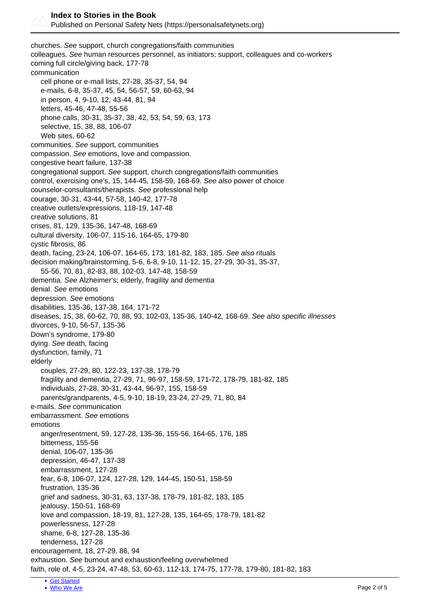

Published on Personal Safety Nets (https://personalsafetynets.org)

churches. See support, church congregations/faith communities colleagues. See human resources personnel, as initiators; support, colleagues and co-workers coming full circle/giving back, 177-78 communication cell phone or e-mail lists, 27-28, 35-37, 54, 94 e-mails, 6-8, 35-37, 45, 54, 56-57, 59, 60-63, 94 in person, 4, 9-10, 12, 43-44, 81, 94 letters, 45-46, 47-48, 55-56 phone calls, 30-31, 35-37, 38, 42, 53, 54, 59, 63, 173 selective, 15, 38, 88, 106-07 Web sites, 60-62 communities. See support, communities compassion. See emotions, love and compassion. congestive heart failure, 137-38 congregational support. See support, church congregations/faith communities control, exercising one's, 15, 144-45, 158-59, 168-69. See also power of choice counselor-consultants/therapists. See professional help courage, 30-31, 43-44, 57-58, 140-42, 177-78 creative outlets/expressions, 118-19, 147-48 creative solutions, 81 crises, 81, 129, 135-36, 147-48, 168-69 cultural diversity, 106-07, 115-16, 164-65, 179-80 cystic fibrosis, 86 death, facing, 23-24, 106-07, 164-65, 173, 181-82, 183, 185. See also rituals decision making/brainstorming, 5-6, 6-8, 9-10, 11-12, 15, 27-29, 30-31, 35-37, 55-56, 70, 81, 82-83, 88, 102-03, 147-48, 158-59 dementia. See Alzheimer's; elderly, fragility and dementia denial. See emotions depression. See emotions disabilities, 135-36, 137-38, 164, 171-72 diseases, 15, 38, 60-62, 70, 88, 93, 102-03, 135-36, 140-42, 168-69. See also specific illnesses divorces, 9-10, 56-57, 135-36 Down's syndrome, 179-80 dying. See death, facing dysfunction, family, 71 elderly couples, 27-29, 80, 122-23, 137-38, 178-79 fragility and dementia, 27-29, 71, 96-97, 158-59, 171-72, 178-79, 181-82, 185 individuals, 27-28, 30-31, 43-44, 96-97, 155, 158-59 parents/grandparents, 4-5, 9-10, 18-19, 23-24, 27-29, 71, 80, 84 e-mails. See communication embarrassment. See emotions emotions anger/resentment, 59, 127-28, 135-36, 155-56, 164-65, 176, 185 bitterness, 155-56 denial, 106-07, 135-36 depression, 46-47, 137-38 embarrassment, 127-28 fear, 6-8, 106-07, 124, 127-28, 129, 144-45, 150-51, 158-59 frustration, 135-36 grief and sadness, 30-31, 63, 137-38, 178-79, 181-82, 183, 185 jealousy, 150-51, 168-69 love and compassion, 18-19, 81, 127-28, 135, 164-65, 178-79, 181-82 powerlessness, 127-28 shame, 6-8, 127-28, 135-36 tenderness, 127-28 encouragement, 18, 27-29, 86, 94 exhaustion. See burnout and exhaustion/feeling overwhelmed faith, role of, 4-5, 23-24, 47-48, 53, 60-63, 112-13, 174-75, 177-78, 179-80, 181-82, 183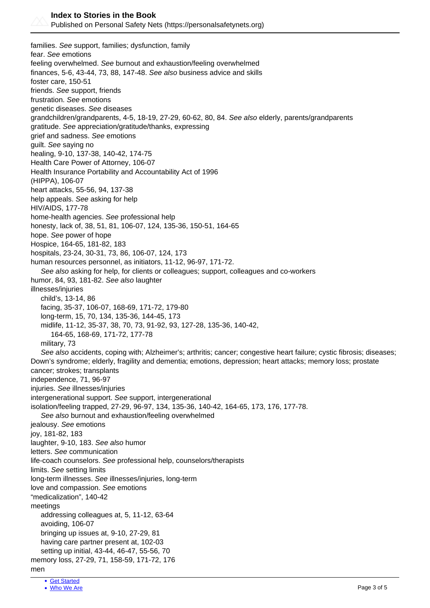

families. See support, families; dysfunction, family fear. See emotions feeling overwhelmed. See burnout and exhaustion/feeling overwhelmed finances, 5-6, 43-44, 73, 88, 147-48. See also business advice and skills foster care, 150-51 friends. See support, friends frustration. See emotions genetic diseases. See diseases grandchildren/grandparents, 4-5, 18-19, 27-29, 60-62, 80, 84. See also elderly, parents/grandparents gratitude. See appreciation/gratitude/thanks, expressing grief and sadness. See emotions guilt. See saying no healing, 9-10, 137-38, 140-42, 174-75 Health Care Power of Attorney, 106-07 Health Insurance Portability and Accountability Act of 1996 (HIPPA), 106-07 heart attacks, 55-56, 94, 137-38 help appeals. See asking for help HIV/AIDS, 177-78 home-health agencies. See professional help honesty, lack of, 38, 51, 81, 106-07, 124, 135-36, 150-51, 164-65 hope. See power of hope Hospice, 164-65, 181-82, 183 hospitals, 23-24, 30-31, 73, 86, 106-07, 124, 173 human resources personnel, as initiators, 11-12, 96-97, 171-72. See also asking for help, for clients or colleagues; support, colleagues and co-workers humor, 84, 93, 181-82. See also laughter illnesses/injuries child's, 13-14, 86 facing, 35-37, 106-07, 168-69, 171-72, 179-80 long-term, 15, 70, 134, 135-36, 144-45, 173 midlife, 11-12, 35-37, 38, 70, 73, 91-92, 93, 127-28, 135-36, 140-42, 164-65, 168-69, 171-72, 177-78 military, 73 See also accidents, coping with; Alzheimer's; arthritis; cancer; congestive heart failure; cystic fibrosis; diseases; Down's syndrome; elderly, fragility and dementia; emotions, depression; heart attacks; memory loss; prostate cancer; strokes; transplants independence, 71, 96-97 injuries. See illnesses/injuries intergenerational support. See support, intergenerational isolation/feeling trapped, 27-29, 96-97, 134, 135-36, 140-42, 164-65, 173, 176, 177-78. See also burnout and exhaustion/feeling overwhelmed jealousy. See emotions joy, 181-82, 183 laughter, 9-10, 183. See also humor letters. See communication life-coach counselors. See professional help, counselors/therapists limits. See setting limits long-term illnesses. See illnesses/injuries, long-term love and compassion. See emotions "medicalization", 140-42 meetings addressing colleagues at, 5, 11-12, 63-64 avoiding, 106-07 bringing up issues at, 9-10, 27-29, 81 having care partner present at, 102-03 setting up initial, 43-44, 46-47, 55-56, 70 memory loss, 27-29, 71, 158-59, 171-72, 176 men

```
Get Started
```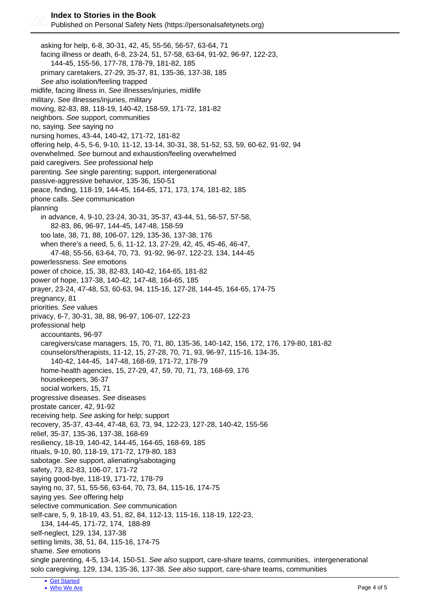

Published on Personal Safety Nets (https://personalsafetynets.org)

 asking for help, 6-8, 30-31, 42, 45, 55-56, 56-57, 63-64, 71 facing illness or death, 6-8, 23-24, 51, 57-58, 63-64, 91-92, 96-97, 122-23, 144-45, 155-56, 177-78, 178-79, 181-82, 185 primary caretakers, 27-29, 35-37, 81, 135-36, 137-38, 185 See also isolation/feeling trapped midlife, facing illness in. See illnesses/injuries, midlife military. See illnesses/injuries, military moving, 82-83, 88, 118-19, 140-42, 158-59, 171-72, 181-82 neighbors. See support, communities no, saying. See saying no nursing homes, 43-44, 140-42, 171-72, 181-82 offering help, 4-5, 5-6, 9-10, 11-12, 13-14, 30-31, 38, 51-52, 53, 59, 60-62, 91-92, 94 overwhelmed. See burnout and exhaustion/feeling overwhelmed paid caregivers. See professional help parenting. See single parenting; support, intergenerational passive-aggressive behavior, 135-36, 150-51 peace, finding, 118-19, 144-45, 164-65, 171, 173, 174, 181-82, 185 phone calls. See communication planning in advance, 4, 9-10, 23-24, 30-31, 35-37, 43-44, 51, 56-57, 57-58, 82-83, 86, 96-97, 144-45, 147-48, 158-59 too late, 38, 71, 88, 106-07, 129, 135-36, 137-38, 176 when there's a need, 5, 6, 11-12, 13, 27-29, 42, 45, 45-46, 46-47, 47-48, 55-56, 63-64, 70, 73, 91-92, 96-97, 122-23, 134, 144-45 powerlessness. See emotions power of choice, 15, 38, 82-83, 140-42, 164-65, 181-82 power of hope, 137-38, 140-42, 147-48, 164-65, 185 prayer, 23-24, 47-48, 53, 60-63, 94, 115-16, 127-28, 144-45, 164-65, 174-75 pregnancy, 81 priorities. See values privacy, 6-7, 30-31, 38, 88, 96-97, 106-07, 122-23 professional help accountants, 96-97 caregivers/case managers, 15, 70, 71, 80, 135-36, 140-142, 156, 172, 176, 179-80, 181-82 counselors/therapists, 11-12, 15, 27-28, 70, 71, 93, 96-97, 115-16, 134-35, 140-42, 144-45, 147-48, 168-69, 171-72, 178-79 home-health agencies, 15, 27-29, 47, 59, 70, 71, 73, 168-69, 176 housekeepers, 36-37 social workers, 15, 71 progressive diseases. See diseases prostate cancer, 42, 91-92 receiving help. See asking for help; support recovery, 35-37, 43-44, 47-48, 63, 73, 94, 122-23, 127-28, 140-42, 155-56 relief, 35-37, 135-36, 137-38, 168-69 resiliency, 18-19, 140-42, 144-45, 164-65, 168-69, 185 rituals, 9-10, 80, 118-19, 171-72, 179-80, 183 sabotage. See support, alienating/sabotaging safety, 73, 82-83, 106-07, 171-72 saying good-bye, 118-19, 171-72, 178-79 saying no, 37, 51, 55-56, 63-64, 70, 73, 84, 115-16, 174-75 saying yes. See offering help selective communication. See communication self-care, 5, 9, 18-19, 43, 51, 82, 84, 112-13, 115-16, 118-19, 122-23, 134, 144-45, 171-72, 174, 188-89 self-neglect, 129, 134, 137-38 setting limits, 38, 51, 84, 115-16, 174-75 shame. See emotions single parenting, 4-5, 13-14, 150-51. See also support, care-share teams, communities, intergenerational solo caregiving, 129, 134, 135-36, 137-38. See also support, care-share teams, communities

• [Get Started](https://personalsafetynets.org/content/building-your-personal-safety-net)